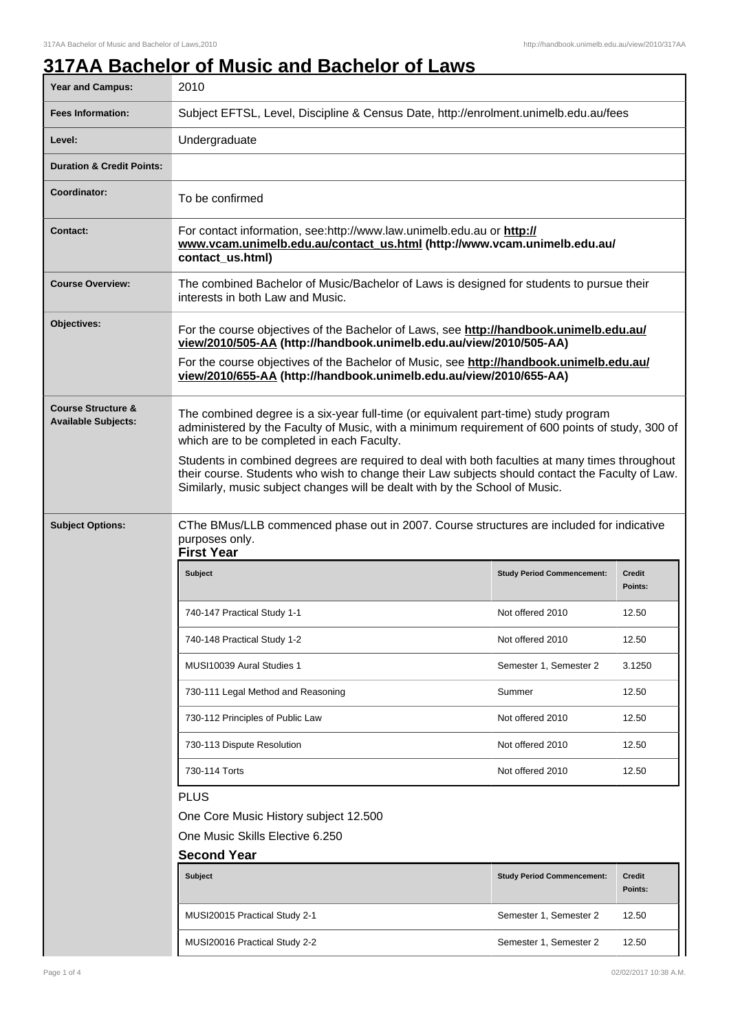# **317AA Bachelor of Music and Bachelor of Laws**

| <b>Year and Campus:</b>                                     | 2010                                                                                                                                                                                                                                                                                                                                                                                                                                                                                                                     |                                   |                          |
|-------------------------------------------------------------|--------------------------------------------------------------------------------------------------------------------------------------------------------------------------------------------------------------------------------------------------------------------------------------------------------------------------------------------------------------------------------------------------------------------------------------------------------------------------------------------------------------------------|-----------------------------------|--------------------------|
| <b>Fees Information:</b>                                    | Subject EFTSL, Level, Discipline & Census Date, http://enrolment.unimelb.edu.au/fees                                                                                                                                                                                                                                                                                                                                                                                                                                     |                                   |                          |
| Level:                                                      | Undergraduate                                                                                                                                                                                                                                                                                                                                                                                                                                                                                                            |                                   |                          |
| <b>Duration &amp; Credit Points:</b>                        |                                                                                                                                                                                                                                                                                                                                                                                                                                                                                                                          |                                   |                          |
| Coordinator:                                                | To be confirmed                                                                                                                                                                                                                                                                                                                                                                                                                                                                                                          |                                   |                          |
| Contact:                                                    | For contact information, see:http://www.law.unimelb.edu.au or http://<br>www.vcam.unimelb.edu.au/contact_us.html (http://www.vcam.unimelb.edu.au/<br>contact_us.html)                                                                                                                                                                                                                                                                                                                                                    |                                   |                          |
| <b>Course Overview:</b>                                     | The combined Bachelor of Music/Bachelor of Laws is designed for students to pursue their<br>interests in both Law and Music.                                                                                                                                                                                                                                                                                                                                                                                             |                                   |                          |
| Objectives:                                                 | For the course objectives of the Bachelor of Laws, see http://handbook.unimelb.edu.au/<br>view/2010/505-AA (http://handbook.unimelb.edu.au/view/2010/505-AA)<br>For the course objectives of the Bachelor of Music, see http://handbook.unimelb.edu.au/<br>view/2010/655-AA (http://handbook.unimelb.edu.au/view/2010/655-AA)                                                                                                                                                                                            |                                   |                          |
| <b>Course Structure &amp;</b><br><b>Available Subjects:</b> | The combined degree is a six-year full-time (or equivalent part-time) study program<br>administered by the Faculty of Music, with a minimum requirement of 600 points of study, 300 of<br>which are to be completed in each Faculty.<br>Students in combined degrees are required to deal with both faculties at many times throughout<br>their course. Students who wish to change their Law subjects should contact the Faculty of Law.<br>Similarly, music subject changes will be dealt with by the School of Music. |                                   |                          |
| <b>Subject Options:</b>                                     | CThe BMus/LLB commenced phase out in 2007. Course structures are included for indicative<br>purposes only.<br><b>First Year</b>                                                                                                                                                                                                                                                                                                                                                                                          |                                   |                          |
|                                                             | <b>Subject</b>                                                                                                                                                                                                                                                                                                                                                                                                                                                                                                           | <b>Study Period Commencement:</b> | <b>Credit</b><br>Points: |
|                                                             | 740-147 Practical Study 1-1                                                                                                                                                                                                                                                                                                                                                                                                                                                                                              | Not offered 2010                  | 12.50                    |
|                                                             | 740-148 Practical Study 1-2                                                                                                                                                                                                                                                                                                                                                                                                                                                                                              | Not offered 2010                  | 12.50                    |
|                                                             | MUSI10039 Aural Studies 1                                                                                                                                                                                                                                                                                                                                                                                                                                                                                                | Semester 1, Semester 2            | 3.1250                   |
|                                                             | 730-111 Legal Method and Reasoning                                                                                                                                                                                                                                                                                                                                                                                                                                                                                       | Summer                            | 12.50                    |
|                                                             | 730-112 Principles of Public Law                                                                                                                                                                                                                                                                                                                                                                                                                                                                                         | Not offered 2010                  | 12.50                    |
|                                                             | 730-113 Dispute Resolution                                                                                                                                                                                                                                                                                                                                                                                                                                                                                               | Not offered 2010                  | 12.50                    |
|                                                             | 730-114 Torts                                                                                                                                                                                                                                                                                                                                                                                                                                                                                                            | Not offered 2010                  | 12.50                    |
|                                                             | <b>PLUS</b><br>One Core Music History subject 12.500<br>One Music Skills Elective 6.250<br><b>Second Year</b>                                                                                                                                                                                                                                                                                                                                                                                                            |                                   |                          |
|                                                             | <b>Subject</b>                                                                                                                                                                                                                                                                                                                                                                                                                                                                                                           | <b>Study Period Commencement:</b> | <b>Credit</b><br>Points: |
|                                                             | MUSI20015 Practical Study 2-1                                                                                                                                                                                                                                                                                                                                                                                                                                                                                            | Semester 1, Semester 2            | 12.50                    |
|                                                             | MUSI20016 Practical Study 2-2                                                                                                                                                                                                                                                                                                                                                                                                                                                                                            | Semester 1, Semester 2            | 12.50                    |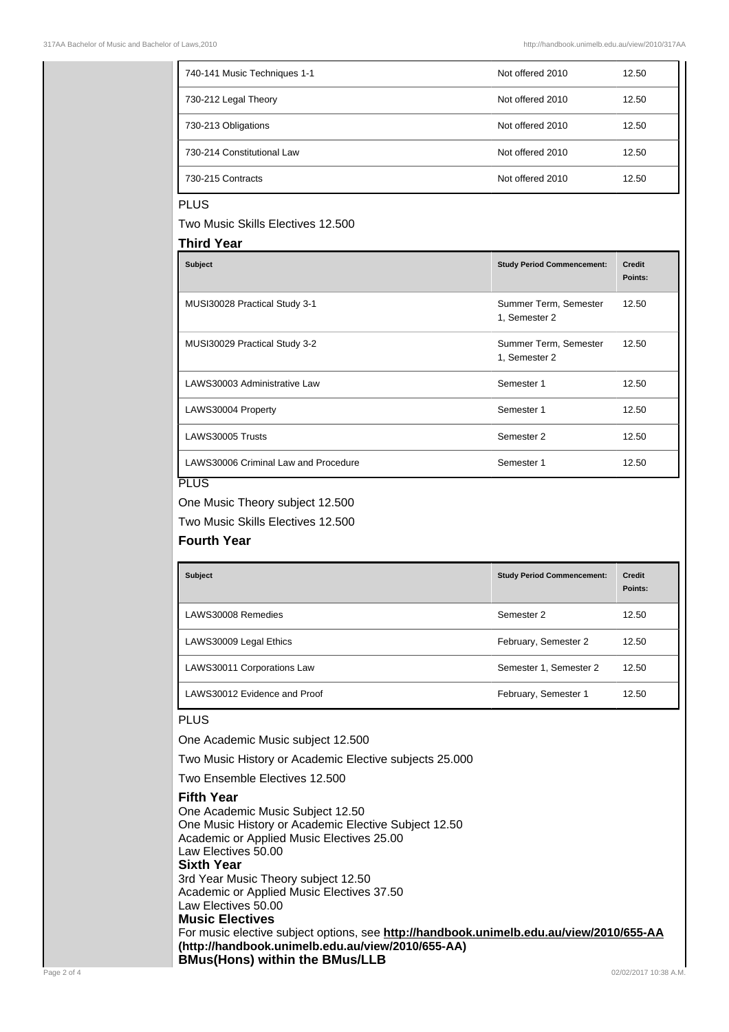| 740-141 Music Techniques 1-1 | Not offered 2010 | 12.50 |
|------------------------------|------------------|-------|
| 730-212 Legal Theory         | Not offered 2010 | 12.50 |
| 730-213 Obligations          | Not offered 2010 | 12.50 |
| 730-214 Constitutional Law   | Not offered 2010 | 12.50 |
| 730-215 Contracts            | Not offered 2010 | 12.50 |

### PLUS

Two Music Skills Electives 12.500

| <b>Third Year</b>                               |                                        |                          |
|-------------------------------------------------|----------------------------------------|--------------------------|
| <b>Subject</b>                                  | <b>Study Period Commencement:</b>      | <b>Credit</b><br>Points: |
| MUSI30028 Practical Study 3-1                   | Summer Term, Semester<br>1, Semester 2 | 12.50                    |
| MUSI30029 Practical Study 3-2                   | Summer Term, Semester<br>1, Semester 2 | 12.50                    |
| LAWS30003 Administrative Law                    | Semester 1                             | 12.50                    |
| LAWS30004 Property                              | Semester 1                             | 12.50                    |
| LAWS30005 Trusts                                | Semester 2                             | 12.50                    |
| LAWS30006 Criminal Law and Procedure<br><u></u> | Semester 1                             | 12.50                    |

#### PLUS

One Music Theory subject 12.500

Two Music Skills Electives 12.500

## **Fourth Year**

| <b>Subject</b>               | <b>Study Period Commencement:</b> | Credit<br>Points: |
|------------------------------|-----------------------------------|-------------------|
| LAWS30008 Remedies           | Semester 2                        | 12.50             |
| LAWS30009 Legal Ethics       | February, Semester 2              | 12.50             |
| LAWS30011 Corporations Law   | Semester 1, Semester 2            | 12.50             |
| LAWS30012 Evidence and Proof | February, Semester 1              | 12.50             |

# PLUS

One Academic Music subject 12.500

Two Music History or Academic Elective subjects 25.000

Two Ensemble Electives 12.500

#### **Fifth Year**

One Academic Music Subject 12.50 One Music History or Academic Elective Subject 12.50 Academic or Applied Music Electives 25.00 Law Electives 50.00 **Sixth Year** 3rd Year Music Theory subject 12.50 Academic or Applied Music Electives 37.50 Law Electives 50.00 **Music Electives** For music elective subject options, see **http://handbook.unimelb.edu.au/view/2010/655-AA (http://handbook.unimelb.edu.au/view/2010/655-AA) BMus(Hons) within the BMus/LLB**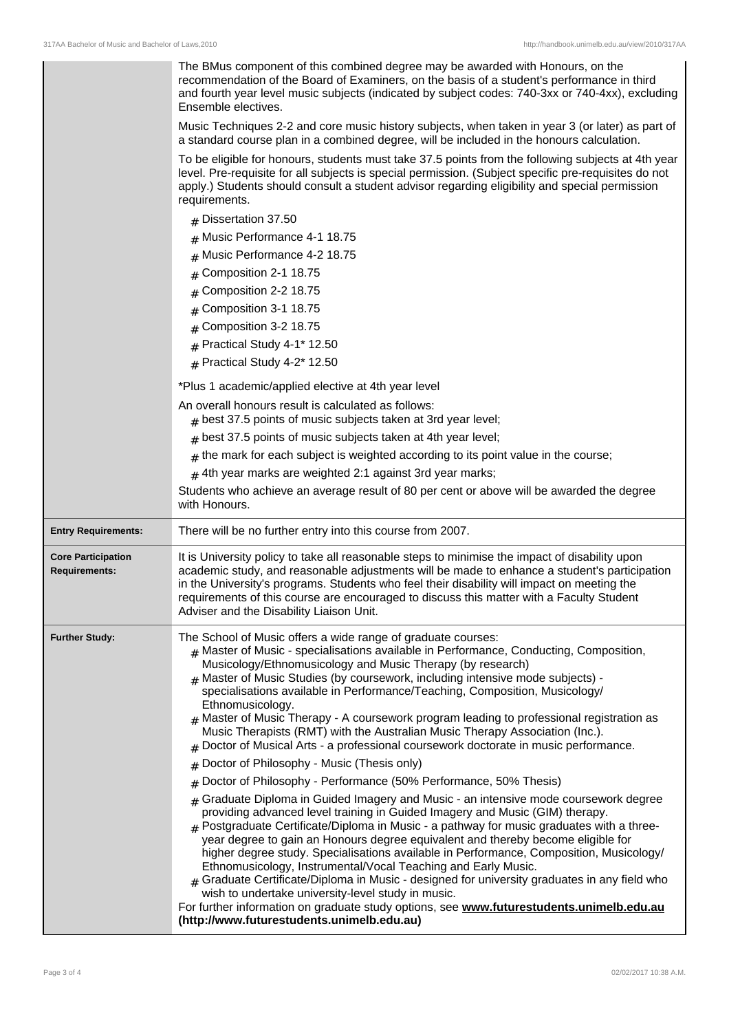|                                                   | The BMus component of this combined degree may be awarded with Honours, on the<br>recommendation of the Board of Examiners, on the basis of a student's performance in third<br>and fourth year level music subjects (indicated by subject codes: 740-3xx or 740-4xx), excluding<br>Ensemble electives.                                                                                                                                                                                                                                                                                                                                                                                    |
|---------------------------------------------------|--------------------------------------------------------------------------------------------------------------------------------------------------------------------------------------------------------------------------------------------------------------------------------------------------------------------------------------------------------------------------------------------------------------------------------------------------------------------------------------------------------------------------------------------------------------------------------------------------------------------------------------------------------------------------------------------|
|                                                   | Music Techniques 2-2 and core music history subjects, when taken in year 3 (or later) as part of<br>a standard course plan in a combined degree, will be included in the honours calculation.                                                                                                                                                                                                                                                                                                                                                                                                                                                                                              |
|                                                   | To be eligible for honours, students must take 37.5 points from the following subjects at 4th year<br>level. Pre-requisite for all subjects is special permission. (Subject specific pre-requisites do not<br>apply.) Students should consult a student advisor regarding eligibility and special permission<br>requirements.                                                                                                                                                                                                                                                                                                                                                              |
|                                                   | $#$ Dissertation 37.50<br># Music Performance 4-1 18.75<br>$#$ Music Performance 4-2 18.75<br>Composition 2-1 18.75<br>#<br>Composition 2-2 18.75<br>#<br>$#$ Composition 3-1 18.75<br>Composition 3-2 18.75<br>#<br>$#$ Practical Study 4-1* 12.50                                                                                                                                                                                                                                                                                                                                                                                                                                        |
|                                                   | $#$ Practical Study 4-2* 12.50                                                                                                                                                                                                                                                                                                                                                                                                                                                                                                                                                                                                                                                             |
|                                                   | *Plus 1 academic/applied elective at 4th year level                                                                                                                                                                                                                                                                                                                                                                                                                                                                                                                                                                                                                                        |
|                                                   | An overall honours result is calculated as follows:<br>$_{\#}$ best 37.5 points of music subjects taken at 3rd year level;                                                                                                                                                                                                                                                                                                                                                                                                                                                                                                                                                                 |
|                                                   | $#$ best 37.5 points of music subjects taken at 4th year level;                                                                                                                                                                                                                                                                                                                                                                                                                                                                                                                                                                                                                            |
|                                                   | $#$ the mark for each subject is weighted according to its point value in the course;                                                                                                                                                                                                                                                                                                                                                                                                                                                                                                                                                                                                      |
|                                                   | $#$ 4th year marks are weighted 2:1 against 3rd year marks;                                                                                                                                                                                                                                                                                                                                                                                                                                                                                                                                                                                                                                |
|                                                   | Students who achieve an average result of 80 per cent or above will be awarded the degree<br>with Honours.                                                                                                                                                                                                                                                                                                                                                                                                                                                                                                                                                                                 |
| <b>Entry Requirements:</b>                        | There will be no further entry into this course from 2007.                                                                                                                                                                                                                                                                                                                                                                                                                                                                                                                                                                                                                                 |
| <b>Core Participation</b><br><b>Requirements:</b> | It is University policy to take all reasonable steps to minimise the impact of disability upon<br>academic study, and reasonable adjustments will be made to enhance a student's participation<br>in the University's programs. Students who feel their disability will impact on meeting the<br>requirements of this course are encouraged to discuss this matter with a Faculty Student<br>Adviser and the Disability Liaison Unit.                                                                                                                                                                                                                                                      |
| <b>Further Study:</b>                             | The School of Music offers a wide range of graduate courses:<br>$#$ Master of Music - specialisations available in Performance, Conducting, Composition,<br>Musicology/Ethnomusicology and Music Therapy (by research)<br>$#$ Master of Music Studies (by coursework, including intensive mode subjects) -<br>specialisations available in Performance/Teaching, Composition, Musicology/<br>Ethnomusicology.<br>$_{\#}$ Master of Music Therapy - A coursework program leading to professional registration as<br>Music Therapists (RMT) with the Australian Music Therapy Association (Inc.).<br>$#$ Doctor of Musical Arts - a professional coursework doctorate in music performance.  |
|                                                   | Doctor of Philosophy - Music (Thesis only)<br>#<br>Doctor of Philosophy - Performance (50% Performance, 50% Thesis)                                                                                                                                                                                                                                                                                                                                                                                                                                                                                                                                                                        |
|                                                   | #<br>$_{\#}$ Graduate Diploma in Guided Imagery and Music - an intensive mode coursework degree                                                                                                                                                                                                                                                                                                                                                                                                                                                                                                                                                                                            |
|                                                   | providing advanced level training in Guided Imagery and Music (GIM) therapy.<br>$_{\rm #}$ Postgraduate Certificate/Diploma in Music - a pathway for music graduates with a three-<br>year degree to gain an Honours degree equivalent and thereby become eligible for<br>higher degree study. Specialisations available in Performance, Composition, Musicology/<br>Ethnomusicology, Instrumental/Vocal Teaching and Early Music.<br>$_{\#}$ Graduate Certificate/Diploma in Music - designed for university graduates in any field who<br>wish to undertake university-level study in music.<br>For further information on graduate study options, see www.futurestudents.unimelb.edu.au |
|                                                   | (http://www.futurestudents.unimelb.edu.au)                                                                                                                                                                                                                                                                                                                                                                                                                                                                                                                                                                                                                                                 |